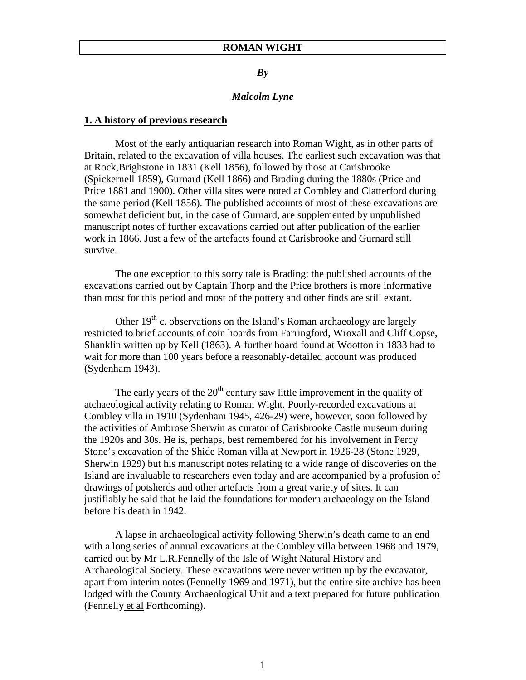## *By*

## *Malcolm Lyne*

## **1. A history of previous research**

Most of the early antiquarian research into Roman Wight, as in other parts of Britain, related to the excavation of villa houses. The earliest such excavation was that at Rock,Brighstone in 1831 (Kell 1856), followed by those at Carisbrooke (Spickernell 1859), Gurnard (Kell 1866) and Brading during the 1880s (Price and Price 1881 and 1900). Other villa sites were noted at Combley and Clatterford during the same period (Kell 1856). The published accounts of most of these excavations are somewhat deficient but, in the case of Gurnard, are supplemented by unpublished manuscript notes of further excavations carried out after publication of the earlier work in 1866. Just a few of the artefacts found at Carisbrooke and Gurnard still survive.

The one exception to this sorry tale is Brading: the published accounts of the excavations carried out by Captain Thorp and the Price brothers is more informative than most for this period and most of the pottery and other finds are still extant.

Other  $19<sup>th</sup>$  c. observations on the Island's Roman archaeology are largely restricted to brief accounts of coin hoards from Farringford, Wroxall and Cliff Copse, Shanklin written up by Kell (1863). A further hoard found at Wootton in 1833 had to wait for more than 100 years before a reasonably-detailed account was produced (Sydenham 1943).

The early years of the  $20<sup>th</sup>$  century saw little improvement in the quality of atchaeological activity relating to Roman Wight. Poorly-recorded excavations at Combley villa in 1910 (Sydenham 1945, 426-29) were, however, soon followed by the activities of Ambrose Sherwin as curator of Carisbrooke Castle museum during the 1920s and 30s. He is, perhaps, best remembered for his involvement in Percy Stone's excavation of the Shide Roman villa at Newport in 1926-28 (Stone 1929, Sherwin 1929) but his manuscript notes relating to a wide range of discoveries on the Island are invaluable to researchers even today and are accompanied by a profusion of drawings of potsherds and other artefacts from a great variety of sites. It can justifiably be said that he laid the foundations for modern archaeology on the Island before his death in 1942.

A lapse in archaeological activity following Sherwin's death came to an end with a long series of annual excavations at the Combley villa between 1968 and 1979, carried out by Mr L.R.Fennelly of the Isle of Wight Natural History and Archaeological Society. These excavations were never written up by the excavator, apart from interim notes (Fennelly 1969 and 1971), but the entire site archive has been lodged with the County Archaeological Unit and a text prepared for future publication (Fennelly et al Forthcoming).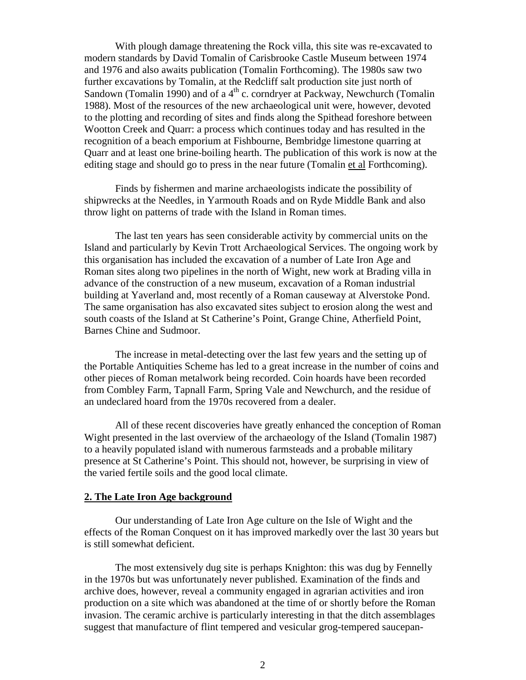With plough damage threatening the Rock villa, this site was re-excavated to modern standards by David Tomalin of Carisbrooke Castle Museum between 1974 and 1976 and also awaits publication (Tomalin Forthcoming). The 1980s saw two further excavations by Tomalin, at the Redcliff salt production site just north of Sandown (Tomalin 1990) and of a  $4<sup>th</sup>$  c. corndryer at Packway, Newchurch (Tomalin 1988). Most of the resources of the new archaeological unit were, however, devoted to the plotting and recording of sites and finds along the Spithead foreshore between Wootton Creek and Quarr: a process which continues today and has resulted in the recognition of a beach emporium at Fishbourne, Bembridge limestone quarring at Quarr and at least one brine-boiling hearth. The publication of this work is now at the editing stage and should go to press in the near future (Tomalin et al Forthcoming).

Finds by fishermen and marine archaeologists indicate the possibility of shipwrecks at the Needles, in Yarmouth Roads and on Ryde Middle Bank and also throw light on patterns of trade with the Island in Roman times.

The last ten years has seen considerable activity by commercial units on the Island and particularly by Kevin Trott Archaeological Services. The ongoing work by this organisation has included the excavation of a number of Late Iron Age and Roman sites along two pipelines in the north of Wight, new work at Brading villa in advance of the construction of a new museum, excavation of a Roman industrial building at Yaverland and, most recently of a Roman causeway at Alverstoke Pond. The same organisation has also excavated sites subject to erosion along the west and south coasts of the Island at St Catherine's Point, Grange Chine, Atherfield Point, Barnes Chine and Sudmoor.

The increase in metal-detecting over the last few years and the setting up of the Portable Antiquities Scheme has led to a great increase in the number of coins and other pieces of Roman metalwork being recorded. Coin hoards have been recorded from Combley Farm, Tapnall Farm, Spring Vale and Newchurch, and the residue of an undeclared hoard from the 1970s recovered from a dealer.

All of these recent discoveries have greatly enhanced the conception of Roman Wight presented in the last overview of the archaeology of the Island (Tomalin 1987) to a heavily populated island with numerous farmsteads and a probable military presence at St Catherine's Point. This should not, however, be surprising in view of the varied fertile soils and the good local climate.

#### **2. The Late Iron Age background**

Our understanding of Late Iron Age culture on the Isle of Wight and the effects of the Roman Conquest on it has improved markedly over the last 30 years but is still somewhat deficient.

The most extensively dug site is perhaps Knighton: this was dug by Fennelly in the 1970s but was unfortunately never published. Examination of the finds and archive does, however, reveal a community engaged in agrarian activities and iron production on a site which was abandoned at the time of or shortly before the Roman invasion. The ceramic archive is particularly interesting in that the ditch assemblages suggest that manufacture of flint tempered and vesicular grog-tempered saucepan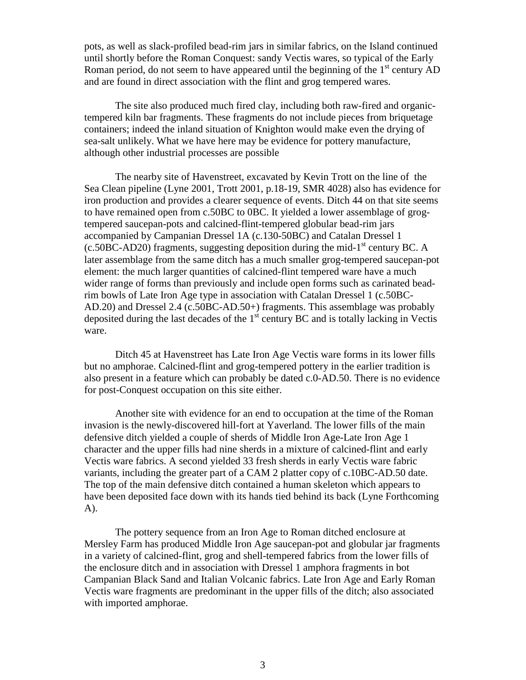pots, as well as slack-profiled bead-rim jars in similar fabrics, on the Island continued until shortly before the Roman Conquest: sandy Vectis wares, so typical of the Early Roman period, do not seem to have appeared until the beginning of the  $1<sup>st</sup>$  century AD and are found in direct association with the flint and grog tempered wares.

The site also produced much fired clay, including both raw-fired and organictempered kiln bar fragments. These fragments do not include pieces from briquetage containers; indeed the inland situation of Knighton would make even the drying of sea-salt unlikely. What we have here may be evidence for pottery manufacture, although other industrial processes are possible

The nearby site of Havenstreet, excavated by Kevin Trott on the line of the Sea Clean pipeline (Lyne 2001, Trott 2001, p.18-19, SMR 4028) also has evidence for iron production and provides a clearer sequence of events. Ditch 44 on that site seems to have remained open from c.50BC to 0BC. It yielded a lower assemblage of grogtempered saucepan-pots and calcined-flint-tempered globular bead-rim jars accompanied by Campanian Dressel 1A (c.130-50BC) and Catalan Dressel 1  $(c.50BC-AD20)$  fragments, suggesting deposition during the mid-1<sup>st</sup> century BC. A later assemblage from the same ditch has a much smaller grog-tempered saucepan-pot element: the much larger quantities of calcined-flint tempered ware have a much wider range of forms than previously and include open forms such as carinated beadrim bowls of Late Iron Age type in association with Catalan Dressel 1 (c.50BC-AD.20) and Dressel 2.4 (c.50BC-AD.50+) fragments. This assemblage was probably deposited during the last decades of the  $1<sup>st</sup>$  century BC and is totally lacking in Vectis ware.

Ditch 45 at Havenstreet has Late Iron Age Vectis ware forms in its lower fills but no amphorae. Calcined-flint and grog-tempered pottery in the earlier tradition is also present in a feature which can probably be dated c.0-AD.50. There is no evidence for post-Conquest occupation on this site either.

Another site with evidence for an end to occupation at the time of the Roman invasion is the newly-discovered hill-fort at Yaverland. The lower fills of the main defensive ditch yielded a couple of sherds of Middle Iron Age-Late Iron Age 1 character and the upper fills had nine sherds in a mixture of calcined-flint and early Vectis ware fabrics. A second yielded 33 fresh sherds in early Vectis ware fabric variants, including the greater part of a CAM 2 platter copy of c.10BC-AD.50 date. The top of the main defensive ditch contained a human skeleton which appears to have been deposited face down with its hands tied behind its back (Lyne Forthcoming A).

The pottery sequence from an Iron Age to Roman ditched enclosure at Mersley Farm has produced Middle Iron Age saucepan-pot and globular jar fragments in a variety of calcined-flint, grog and shell-tempered fabrics from the lower fills of the enclosure ditch and in association with Dressel 1 amphora fragments in bot Campanian Black Sand and Italian Volcanic fabrics. Late Iron Age and Early Roman Vectis ware fragments are predominant in the upper fills of the ditch; also associated with imported amphorae.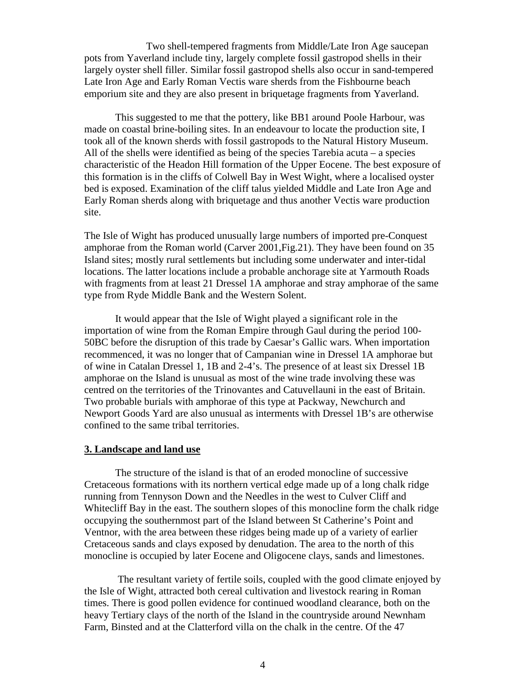Two shell-tempered fragments from Middle/Late Iron Age saucepan pots from Yaverland include tiny, largely complete fossil gastropod shells in their largely oyster shell filler. Similar fossil gastropod shells also occur in sand-tempered Late Iron Age and Early Roman Vectis ware sherds from the Fishbourne beach emporium site and they are also present in briquetage fragments from Yaverland.

This suggested to me that the pottery, like BB1 around Poole Harbour, was made on coastal brine-boiling sites. In an endeavour to locate the production site, I took all of the known sherds with fossil gastropods to the Natural History Museum. All of the shells were identified as being of the species Tarebia acuta – a species characteristic of the Headon Hill formation of the Upper Eocene. The best exposure of this formation is in the cliffs of Colwell Bay in West Wight, where a localised oyster bed is exposed. Examination of the cliff talus yielded Middle and Late Iron Age and Early Roman sherds along with briquetage and thus another Vectis ware production site.

The Isle of Wight has produced unusually large numbers of imported pre-Conquest amphorae from the Roman world (Carver 2001,Fig.21). They have been found on 35 Island sites; mostly rural settlements but including some underwater and inter-tidal locations. The latter locations include a probable anchorage site at Yarmouth Roads with fragments from at least 21 Dressel 1A amphorae and stray amphorae of the same type from Ryde Middle Bank and the Western Solent.

It would appear that the Isle of Wight played a significant role in the importation of wine from the Roman Empire through Gaul during the period 100- 50BC before the disruption of this trade by Caesar's Gallic wars. When importation recommenced, it was no longer that of Campanian wine in Dressel 1A amphorae but of wine in Catalan Dressel 1, 1B and 2-4's. The presence of at least six Dressel 1B amphorae on the Island is unusual as most of the wine trade involving these was centred on the territories of the Trinovantes and Catuvellauni in the east of Britain. Two probable burials with amphorae of this type at Packway, Newchurch and Newport Goods Yard are also unusual as interments with Dressel 1B's are otherwise confined to the same tribal territories.

## **3. Landscape and land use**

The structure of the island is that of an eroded monocline of successive Cretaceous formations with its northern vertical edge made up of a long chalk ridge running from Tennyson Down and the Needles in the west to Culver Cliff and Whitecliff Bay in the east. The southern slopes of this monocline form the chalk ridge occupying the southernmost part of the Island between St Catherine's Point and Ventnor, with the area between these ridges being made up of a variety of earlier Cretaceous sands and clays exposed by denudation. The area to the north of this monocline is occupied by later Eocene and Oligocene clays, sands and limestones.

 The resultant variety of fertile soils, coupled with the good climate enjoyed by the Isle of Wight, attracted both cereal cultivation and livestock rearing in Roman times. There is good pollen evidence for continued woodland clearance, both on the heavy Tertiary clays of the north of the Island in the countryside around Newnham Farm, Binsted and at the Clatterford villa on the chalk in the centre. Of the 47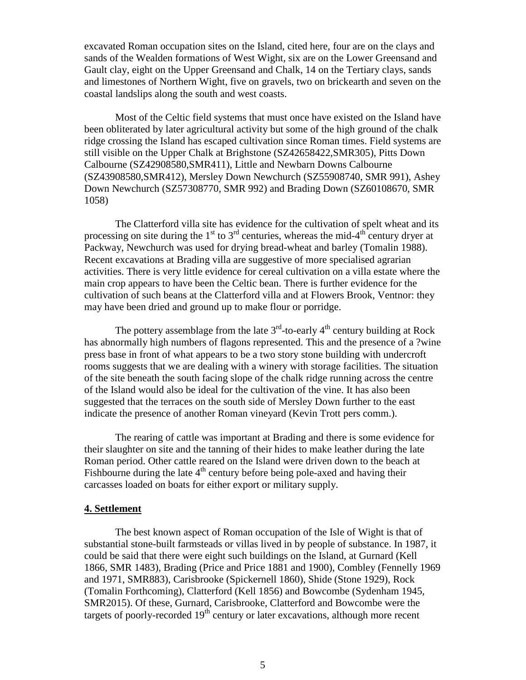excavated Roman occupation sites on the Island, cited here, four are on the clays and sands of the Wealden formations of West Wight, six are on the Lower Greensand and Gault clay, eight on the Upper Greensand and Chalk, 14 on the Tertiary clays, sands and limestones of Northern Wight, five on gravels, two on brickearth and seven on the coastal landslips along the south and west coasts.

Most of the Celtic field systems that must once have existed on the Island have been obliterated by later agricultural activity but some of the high ground of the chalk ridge crossing the Island has escaped cultivation since Roman times. Field systems are still visible on the Upper Chalk at Brighstone (SZ42658422,SMR305), Pitts Down Calbourne (SZ42908580,SMR411), Little and Newbarn Downs Calbourne (SZ43908580,SMR412), Mersley Down Newchurch (SZ55908740, SMR 991), Ashey Down Newchurch (SZ57308770, SMR 992) and Brading Down (SZ60108670, SMR 1058)

The Clatterford villa site has evidence for the cultivation of spelt wheat and its processing on site during the  $1<sup>st</sup>$  to  $3<sup>rd</sup>$  centuries, whereas the mid-4<sup>th</sup> century dryer at Packway, Newchurch was used for drying bread-wheat and barley (Tomalin 1988). Recent excavations at Brading villa are suggestive of more specialised agrarian activities. There is very little evidence for cereal cultivation on a villa estate where the main crop appears to have been the Celtic bean. There is further evidence for the cultivation of such beans at the Clatterford villa and at Flowers Brook, Ventnor: they may have been dried and ground up to make flour or porridge.

The pottery assemblage from the late  $3<sup>rd</sup>$ -to-early  $4<sup>th</sup>$  century building at Rock has abnormally high numbers of flagons represented. This and the presence of a ?wine press base in front of what appears to be a two story stone building with undercroft rooms suggests that we are dealing with a winery with storage facilities. The situation of the site beneath the south facing slope of the chalk ridge running across the centre of the Island would also be ideal for the cultivation of the vine. It has also been suggested that the terraces on the south side of Mersley Down further to the east indicate the presence of another Roman vineyard (Kevin Trott pers comm.).

The rearing of cattle was important at Brading and there is some evidence for their slaughter on site and the tanning of their hides to make leather during the late Roman period. Other cattle reared on the Island were driven down to the beach at Fishbourne during the late  $4<sup>th</sup>$  century before being pole-axed and having their carcasses loaded on boats for either export or military supply.

#### **4. Settlement**

The best known aspect of Roman occupation of the Isle of Wight is that of substantial stone-built farmsteads or villas lived in by people of substance. In 1987, it could be said that there were eight such buildings on the Island, at Gurnard (Kell 1866, SMR 1483), Brading (Price and Price 1881 and 1900), Combley (Fennelly 1969 and 1971, SMR883), Carisbrooke (Spickernell 1860), Shide (Stone 1929), Rock (Tomalin Forthcoming), Clatterford (Kell 1856) and Bowcombe (Sydenham 1945, SMR2015). Of these, Gurnard, Carisbrooke, Clatterford and Bowcombe were the targets of poorly-recorded  $19<sup>th</sup>$  century or later excavations, although more recent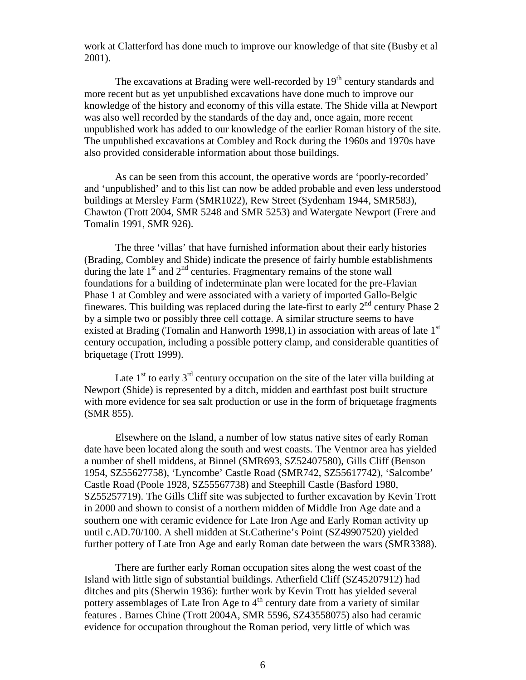work at Clatterford has done much to improve our knowledge of that site (Busby et al 2001).

The excavations at Brading were well-recorded by  $19<sup>th</sup>$  century standards and more recent but as yet unpublished excavations have done much to improve our knowledge of the history and economy of this villa estate. The Shide villa at Newport was also well recorded by the standards of the day and, once again, more recent unpublished work has added to our knowledge of the earlier Roman history of the site. The unpublished excavations at Combley and Rock during the 1960s and 1970s have also provided considerable information about those buildings.

As can be seen from this account, the operative words are 'poorly-recorded' and 'unpublished' and to this list can now be added probable and even less understood buildings at Mersley Farm (SMR1022), Rew Street (Sydenham 1944, SMR583), Chawton (Trott 2004, SMR 5248 and SMR 5253) and Watergate Newport (Frere and Tomalin 1991, SMR 926).

The three 'villas' that have furnished information about their early histories (Brading, Combley and Shide) indicate the presence of fairly humble establishments during the late 1<sup>st</sup> and 2<sup>nd</sup> centuries. Fragmentary remains of the stone wall foundations for a building of indeterminate plan were located for the pre-Flavian Phase 1 at Combley and were associated with a variety of imported Gallo-Belgic finewares. This building was replaced during the late-first to early  $2^{nd}$  century Phase 2 by a simple two or possibly three cell cottage. A similar structure seems to have existed at Brading (Tomalin and Hanworth 1998,1) in association with areas of late  $1<sup>st</sup>$ century occupation, including a possible pottery clamp, and considerable quantities of briquetage (Trott 1999).

Late  $1<sup>st</sup>$  to early  $3<sup>rd</sup>$  century occupation on the site of the later villa building at Newport (Shide) is represented by a ditch, midden and earthfast post built structure with more evidence for sea salt production or use in the form of briquetage fragments (SMR 855).

Elsewhere on the Island, a number of low status native sites of early Roman date have been located along the south and west coasts. The Ventnor area has yielded a number of shell middens, at Binnel (SMR693, SZ52407580), Gills Cliff (Benson 1954, SZ55627758), 'Lyncombe' Castle Road (SMR742, SZ55617742), 'Salcombe' Castle Road (Poole 1928, SZ55567738) and Steephill Castle (Basford 1980, SZ55257719). The Gills Cliff site was subjected to further excavation by Kevin Trott in 2000 and shown to consist of a northern midden of Middle Iron Age date and a southern one with ceramic evidence for Late Iron Age and Early Roman activity up until c.AD.70/100. A shell midden at St.Catherine's Point (SZ49907520) yielded further pottery of Late Iron Age and early Roman date between the wars (SMR3388).

There are further early Roman occupation sites along the west coast of the Island with little sign of substantial buildings. Atherfield Cliff (SZ45207912) had ditches and pits (Sherwin 1936): further work by Kevin Trott has yielded several pottery assemblages of Late Iron Age to  $4<sup>th</sup>$  century date from a variety of similar features . Barnes Chine (Trott 2004A, SMR 5596, SZ43558075) also had ceramic evidence for occupation throughout the Roman period, very little of which was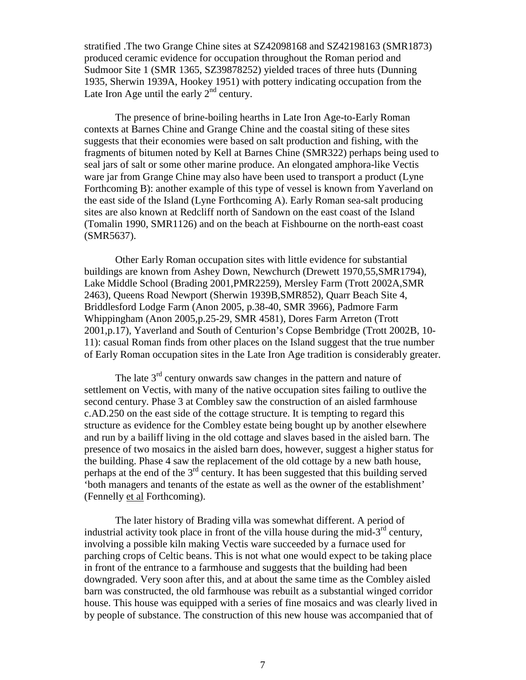stratified .The two Grange Chine sites at SZ42098168 and SZ42198163 (SMR1873) produced ceramic evidence for occupation throughout the Roman period and Sudmoor Site 1 (SMR 1365, SZ39878252) yielded traces of three huts (Dunning 1935, Sherwin 1939A, Hookey 1951) with pottery indicating occupation from the Late Iron Age until the early  $2<sup>nd</sup>$  century.

The presence of brine-boiling hearths in Late Iron Age-to-Early Roman contexts at Barnes Chine and Grange Chine and the coastal siting of these sites suggests that their economies were based on salt production and fishing, with the fragments of bitumen noted by Kell at Barnes Chine (SMR322) perhaps being used to seal jars of salt or some other marine produce. An elongated amphora-like Vectis ware jar from Grange Chine may also have been used to transport a product (Lyne Forthcoming B): another example of this type of vessel is known from Yaverland on the east side of the Island (Lyne Forthcoming A). Early Roman sea-salt producing sites are also known at Redcliff north of Sandown on the east coast of the Island (Tomalin 1990, SMR1126) and on the beach at Fishbourne on the north-east coast (SMR5637).

Other Early Roman occupation sites with little evidence for substantial buildings are known from Ashey Down, Newchurch (Drewett 1970,55,SMR1794), Lake Middle School (Brading 2001,PMR2259), Mersley Farm (Trott 2002A,SMR 2463), Queens Road Newport (Sherwin 1939B,SMR852), Quarr Beach Site 4, Briddlesford Lodge Farm (Anon 2005, p.38-40, SMR 3966), Padmore Farm Whippingham (Anon 2005,p.25-29, SMR 4581), Dores Farm Arreton (Trott 2001,p.17), Yaverland and South of Centurion's Copse Bembridge (Trott 2002B, 10- 11): casual Roman finds from other places on the Island suggest that the true number of Early Roman occupation sites in the Late Iron Age tradition is considerably greater.

The late  $3<sup>rd</sup>$  century onwards saw changes in the pattern and nature of settlement on Vectis, with many of the native occupation sites failing to outlive the second century. Phase 3 at Combley saw the construction of an aisled farmhouse c.AD.250 on the east side of the cottage structure. It is tempting to regard this structure as evidence for the Combley estate being bought up by another elsewhere and run by a bailiff living in the old cottage and slaves based in the aisled barn. The presence of two mosaics in the aisled barn does, however, suggest a higher status for the building. Phase 4 saw the replacement of the old cottage by a new bath house, perhaps at the end of the  $3<sup>rd</sup>$  century. It has been suggested that this building served 'both managers and tenants of the estate as well as the owner of the establishment' (Fennelly et al Forthcoming).

The later history of Brading villa was somewhat different. A period of industrial activity took place in front of the villa house during the mid- $3<sup>rd</sup>$  century, involving a possible kiln making Vectis ware succeeded by a furnace used for parching crops of Celtic beans. This is not what one would expect to be taking place in front of the entrance to a farmhouse and suggests that the building had been downgraded. Very soon after this, and at about the same time as the Combley aisled barn was constructed, the old farmhouse was rebuilt as a substantial winged corridor house. This house was equipped with a series of fine mosaics and was clearly lived in by people of substance. The construction of this new house was accompanied that of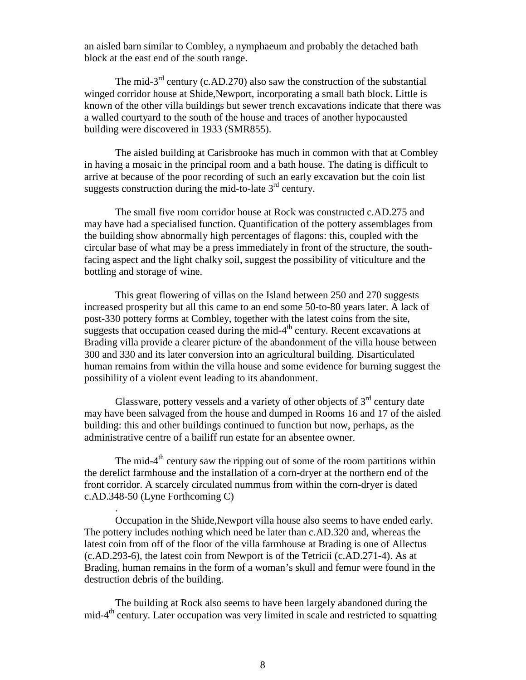an aisled barn similar to Combley, a nymphaeum and probably the detached bath block at the east end of the south range.

The mid- $3<sup>rd</sup>$  century (c.AD.270) also saw the construction of the substantial winged corridor house at Shide,Newport, incorporating a small bath block. Little is known of the other villa buildings but sewer trench excavations indicate that there was a walled courtyard to the south of the house and traces of another hypocausted building were discovered in 1933 (SMR855).

The aisled building at Carisbrooke has much in common with that at Combley in having a mosaic in the principal room and a bath house. The dating is difficult to arrive at because of the poor recording of such an early excavation but the coin list suggests construction during the mid-to-late  $3<sup>rd</sup>$  century.

The small five room corridor house at Rock was constructed c.AD.275 and may have had a specialised function. Quantification of the pottery assemblages from the building show abnormally high percentages of flagons: this, coupled with the circular base of what may be a press immediately in front of the structure, the southfacing aspect and the light chalky soil, suggest the possibility of viticulture and the bottling and storage of wine.

This great flowering of villas on the Island between 250 and 270 suggests increased prosperity but all this came to an end some 50-to-80 years later. A lack of post-330 pottery forms at Combley, together with the latest coins from the site, suggests that occupation ceased during the mid- $4<sup>th</sup>$  century. Recent excavations at Brading villa provide a clearer picture of the abandonment of the villa house between 300 and 330 and its later conversion into an agricultural building. Disarticulated human remains from within the villa house and some evidence for burning suggest the possibility of a violent event leading to its abandonment.

Glassware, pottery vessels and a variety of other objects of  $3<sup>rd</sup>$  century date may have been salvaged from the house and dumped in Rooms 16 and 17 of the aisled building: this and other buildings continued to function but now, perhaps, as the administrative centre of a bailiff run estate for an absentee owner.

The mid-4<sup>th</sup> century saw the ripping out of some of the room partitions within the derelict farmhouse and the installation of a corn-dryer at the northern end of the front corridor. A scarcely circulated nummus from within the corn-dryer is dated c.AD.348-50 (Lyne Forthcoming C)

.

Occupation in the Shide,Newport villa house also seems to have ended early. The pottery includes nothing which need be later than c.AD.320 and, whereas the latest coin from off of the floor of the villa farmhouse at Brading is one of Allectus (c.AD.293-6), the latest coin from Newport is of the Tetricii (c.AD.271-4). As at Brading, human remains in the form of a woman's skull and femur were found in the destruction debris of the building.

The building at Rock also seems to have been largely abandoned during the mid-4th century. Later occupation was very limited in scale and restricted to squatting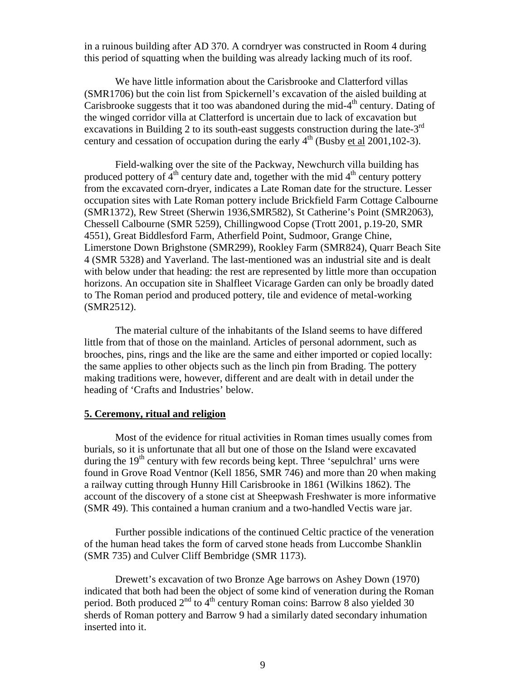in a ruinous building after AD 370. A corndryer was constructed in Room 4 during this period of squatting when the building was already lacking much of its roof.

We have little information about the Carisbrooke and Clatterford villas (SMR1706) but the coin list from Spickernell's excavation of the aisled building at Carisbrooke suggests that it too was abandoned during the mid- $4<sup>th</sup>$  century. Dating of the winged corridor villa at Clatterford is uncertain due to lack of excavation but excavations in Building 2 to its south-east suggests construction during the late-3<sup>rd</sup> century and cessation of occupation during the early  $4<sup>th</sup>$  (Busby et al 2001,102-3).

Field-walking over the site of the Packway, Newchurch villa building has produced pottery of  $4<sup>th</sup>$  century date and, together with the mid  $4<sup>th</sup>$  century pottery from the excavated corn-dryer, indicates a Late Roman date for the structure. Lesser occupation sites with Late Roman pottery include Brickfield Farm Cottage Calbourne (SMR1372), Rew Street (Sherwin 1936,SMR582), St Catherine's Point (SMR2063), Chessell Calbourne (SMR 5259), Chillingwood Copse (Trott 2001, p.19-20, SMR 4551), Great Biddlesford Farm, Atherfield Point, Sudmoor, Grange Chine, Limerstone Down Brighstone (SMR299), Rookley Farm (SMR824), Quarr Beach Site 4 (SMR 5328) and Yaverland. The last-mentioned was an industrial site and is dealt with below under that heading: the rest are represented by little more than occupation horizons. An occupation site in Shalfleet Vicarage Garden can only be broadly dated to The Roman period and produced pottery, tile and evidence of metal-working (SMR2512).

The material culture of the inhabitants of the Island seems to have differed little from that of those on the mainland. Articles of personal adornment, such as brooches, pins, rings and the like are the same and either imported or copied locally: the same applies to other objects such as the linch pin from Brading. The pottery making traditions were, however, different and are dealt with in detail under the heading of 'Crafts and Industries' below.

#### **5. Ceremony, ritual and religion**

Most of the evidence for ritual activities in Roman times usually comes from burials, so it is unfortunate that all but one of those on the Island were excavated during the  $19<sup>th</sup>$  century with few records being kept. Three 'sepulchral' urns were found in Grove Road Ventnor (Kell 1856, SMR 746) and more than 20 when making a railway cutting through Hunny Hill Carisbrooke in 1861 (Wilkins 1862). The account of the discovery of a stone cist at Sheepwash Freshwater is more informative (SMR 49). This contained a human cranium and a two-handled Vectis ware jar.

Further possible indications of the continued Celtic practice of the veneration of the human head takes the form of carved stone heads from Luccombe Shanklin (SMR 735) and Culver Cliff Bembridge (SMR 1173).

Drewett's excavation of two Bronze Age barrows on Ashey Down (1970) indicated that both had been the object of some kind of veneration during the Roman period. Both produced  $2<sup>nd</sup>$  to  $4<sup>th</sup>$  century Roman coins: Barrow 8 also yielded 30 sherds of Roman pottery and Barrow 9 had a similarly dated secondary inhumation inserted into it.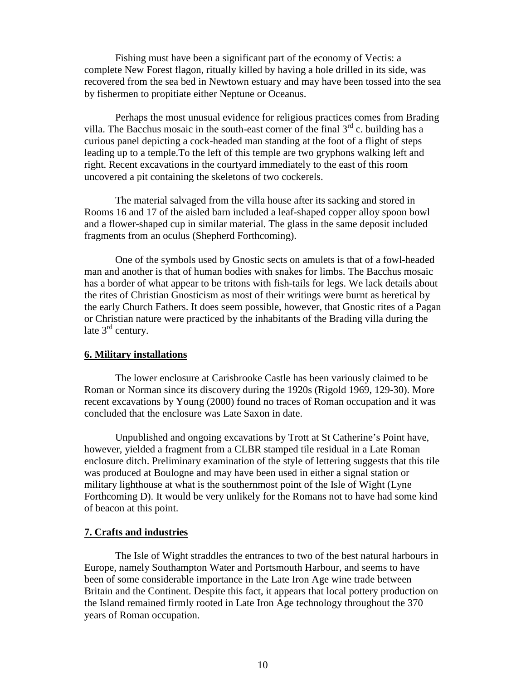Fishing must have been a significant part of the economy of Vectis: a complete New Forest flagon, ritually killed by having a hole drilled in its side, was recovered from the sea bed in Newtown estuary and may have been tossed into the sea by fishermen to propitiate either Neptune or Oceanus.

Perhaps the most unusual evidence for religious practices comes from Brading villa. The Bacchus mosaic in the south-east corner of the final  $3<sup>rd</sup>$  c. building has a curious panel depicting a cock-headed man standing at the foot of a flight of steps leading up to a temple.To the left of this temple are two gryphons walking left and right. Recent excavations in the courtyard immediately to the east of this room uncovered a pit containing the skeletons of two cockerels.

The material salvaged from the villa house after its sacking and stored in Rooms 16 and 17 of the aisled barn included a leaf-shaped copper alloy spoon bowl and a flower-shaped cup in similar material. The glass in the same deposit included fragments from an oculus (Shepherd Forthcoming).

One of the symbols used by Gnostic sects on amulets is that of a fowl-headed man and another is that of human bodies with snakes for limbs. The Bacchus mosaic has a border of what appear to be tritons with fish-tails for legs. We lack details about the rites of Christian Gnosticism as most of their writings were burnt as heretical by the early Church Fathers. It does seem possible, however, that Gnostic rites of a Pagan or Christian nature were practiced by the inhabitants of the Brading villa during the late  $3<sup>rd</sup>$  century.

### **6. Military installations**

The lower enclosure at Carisbrooke Castle has been variously claimed to be Roman or Norman since its discovery during the 1920s (Rigold 1969, 129-30). More recent excavations by Young (2000) found no traces of Roman occupation and it was concluded that the enclosure was Late Saxon in date.

Unpublished and ongoing excavations by Trott at St Catherine's Point have, however, yielded a fragment from a CLBR stamped tile residual in a Late Roman enclosure ditch. Preliminary examination of the style of lettering suggests that this tile was produced at Boulogne and may have been used in either a signal station or military lighthouse at what is the southernmost point of the Isle of Wight (Lyne Forthcoming D). It would be very unlikely for the Romans not to have had some kind of beacon at this point.

#### **7. Crafts and industries**

The Isle of Wight straddles the entrances to two of the best natural harbours in Europe, namely Southampton Water and Portsmouth Harbour, and seems to have been of some considerable importance in the Late Iron Age wine trade between Britain and the Continent. Despite this fact, it appears that local pottery production on the Island remained firmly rooted in Late Iron Age technology throughout the 370 years of Roman occupation.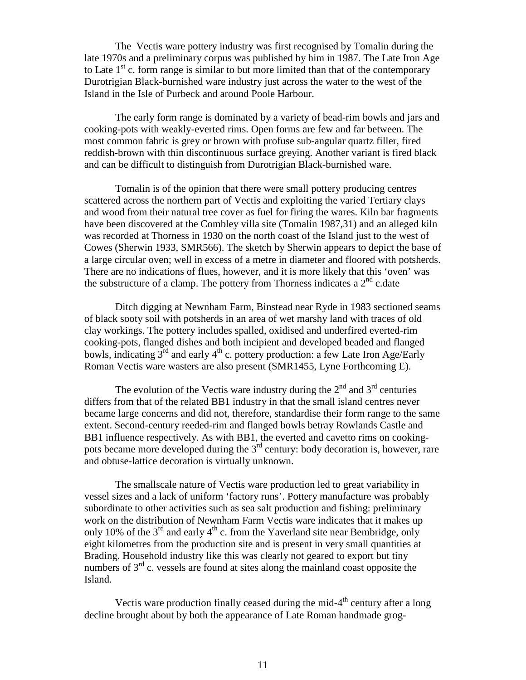The Vectis ware pottery industry was first recognised by Tomalin during the late 1970s and a preliminary corpus was published by him in 1987. The Late Iron Age to Late  $1<sup>st</sup>$  c. form range is similar to but more limited than that of the contemporary Durotrigian Black-burnished ware industry just across the water to the west of the Island in the Isle of Purbeck and around Poole Harbour.

The early form range is dominated by a variety of bead-rim bowls and jars and cooking-pots with weakly-everted rims. Open forms are few and far between. The most common fabric is grey or brown with profuse sub-angular quartz filler, fired reddish-brown with thin discontinuous surface greying. Another variant is fired black and can be difficult to distinguish from Durotrigian Black-burnished ware.

Tomalin is of the opinion that there were small pottery producing centres scattered across the northern part of Vectis and exploiting the varied Tertiary clays and wood from their natural tree cover as fuel for firing the wares. Kiln bar fragments have been discovered at the Combley villa site (Tomalin 1987,31) and an alleged kiln was recorded at Thorness in 1930 on the north coast of the Island just to the west of Cowes (Sherwin 1933, SMR566). The sketch by Sherwin appears to depict the base of a large circular oven; well in excess of a metre in diameter and floored with potsherds. There are no indications of flues, however, and it is more likely that this 'oven' was the substructure of a clamp. The pottery from Thorness indicates a  $2<sup>nd</sup>$  c.date

Ditch digging at Newnham Farm, Binstead near Ryde in 1983 sectioned seams of black sooty soil with potsherds in an area of wet marshy land with traces of old clay workings. The pottery includes spalled, oxidised and underfired everted-rim cooking-pots, flanged dishes and both incipient and developed beaded and flanged bowls, indicating  $3^{rd}$  and early  $4^{th}$  c. pottery production: a few Late Iron Age/Early Roman Vectis ware wasters are also present (SMR1455, Lyne Forthcoming E).

The evolution of the Vectis ware industry during the  $2<sup>nd</sup>$  and  $3<sup>rd</sup>$  centuries differs from that of the related BB1 industry in that the small island centres never became large concerns and did not, therefore, standardise their form range to the same extent. Second-century reeded-rim and flanged bowls betray Rowlands Castle and BB1 influence respectively. As with BB1, the everted and cavetto rims on cookingpots became more developed during the 3rd century: body decoration is, however, rare and obtuse-lattice decoration is virtually unknown.

The smallscale nature of Vectis ware production led to great variability in vessel sizes and a lack of uniform 'factory runs'. Pottery manufacture was probably subordinate to other activities such as sea salt production and fishing: preliminary work on the distribution of Newnham Farm Vectis ware indicates that it makes up only 10% of the  $3^{rd}$  and early  $4^{th}$  c. from the Yaverland site near Bembridge, only eight kilometres from the production site and is present in very small quantities at Brading. Household industry like this was clearly not geared to export but tiny numbers of 3<sup>rd</sup> c. vessels are found at sites along the mainland coast opposite the Island.

Vectis ware production finally ceased during the mid- $4<sup>th</sup>$  century after a long decline brought about by both the appearance of Late Roman handmade grog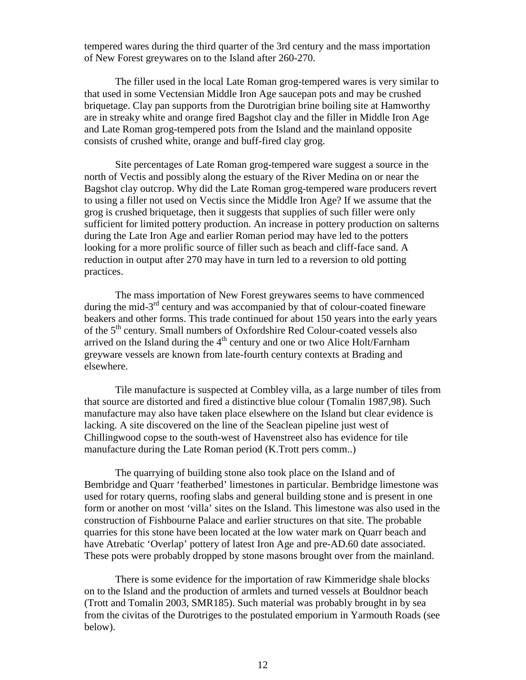tempered wares during the third quarter of the 3rd century and the mass importation of New Forest greywares on to the Island after 260-270.

The filler used in the local Late Roman grog-tempered wares is very similar to that used in some Vectensian Middle Iron Age saucepan pots and may be crushed briquetage. Clay pan supports from the Durotrigian brine boiling site at Hamworthy are in streaky white and orange fired Bagshot clay and the filler in Middle Iron Age and Late Roman grog-tempered pots from the Island and the mainland opposite consists of crushed white, orange and buff-fired clay grog.

Site percentages of Late Roman grog-tempered ware suggest a source in the north of Vectis and possibly along the estuary of the River Medina on or near the Bagshot clay outcrop. Why did the Late Roman grog-tempered ware producers revert to using a filler not used on Vectis since the Middle Iron Age? If we assume that the grog is crushed briquetage, then it suggests that supplies of such filler were only sufficient for limited pottery production. An increase in pottery production on salterns during the Late Iron Age and earlier Roman period may have led to the potters looking for a more prolific source of filler such as beach and cliff-face sand. A reduction in output after 270 may have in turn led to a reversion to old potting practices.

The mass importation of New Forest greywares seems to have commenced during the mid- $3<sup>rd</sup>$  century and was accompanied by that of colour-coated fineware beakers and other forms. This trade continued for about 150 years into the early years of the 5<sup>th</sup> century. Small numbers of Oxfordshire Red Colour-coated vessels also arrived on the Island during the  $4<sup>th</sup>$  century and one or two Alice Holt/Farnham greyware vessels are known from late-fourth century contexts at Brading and elsewhere.

Tile manufacture is suspected at Combley villa, as a large number of tiles from that source are distorted and fired a distinctive blue colour (Tomalin 1987,98). Such manufacture may also have taken place elsewhere on the Island but clear evidence is lacking. A site discovered on the line of the Seaclean pipeline just west of Chillingwood copse to the south-west of Havenstreet also has evidence for tile manufacture during the Late Roman period (K.Trott pers comm..)

The quarrying of building stone also took place on the Island and of Bembridge and Quarr 'featherbed' limestones in particular. Bembridge limestone was used for rotary querns, roofing slabs and general building stone and is present in one form or another on most 'villa' sites on the Island. This limestone was also used in the construction of Fishbourne Palace and earlier structures on that site. The probable quarries for this stone have been located at the low water mark on Quarr beach and have Atrebatic 'Overlap' pottery of latest Iron Age and pre-AD.60 date associated. These pots were probably dropped by stone masons brought over from the mainland.

There is some evidence for the importation of raw Kimmeridge shale blocks on to the Island and the production of armlets and turned vessels at Bouldnor beach (Trott and Tomalin 2003, SMR185). Such material was probably brought in by sea from the civitas of the Durotriges to the postulated emporium in Yarmouth Roads (see below).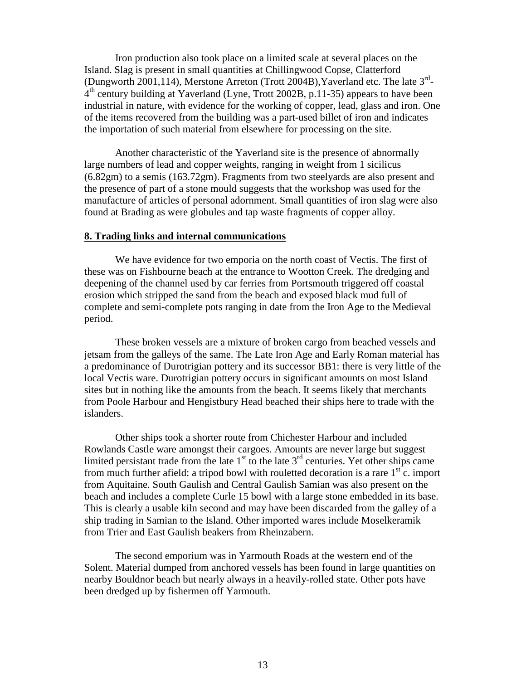Iron production also took place on a limited scale at several places on the Island. Slag is present in small quantities at Chillingwood Copse, Clatterford (Dungworth 2001,114), Merstone Arreton (Trott 2004B), Yaverland etc. The late 3<sup>rd</sup>-4<sup>th</sup> century building at Yaverland (Lyne, Trott 2002B, p.11-35) appears to have been industrial in nature, with evidence for the working of copper, lead, glass and iron. One of the items recovered from the building was a part-used billet of iron and indicates the importation of such material from elsewhere for processing on the site.

Another characteristic of the Yaverland site is the presence of abnormally large numbers of lead and copper weights, ranging in weight from 1 sicilicus (6.82gm) to a semis (163.72gm). Fragments from two steelyards are also present and the presence of part of a stone mould suggests that the workshop was used for the manufacture of articles of personal adornment. Small quantities of iron slag were also found at Brading as were globules and tap waste fragments of copper alloy.

### **8. Trading links and internal communications**

We have evidence for two emporia on the north coast of Vectis. The first of these was on Fishbourne beach at the entrance to Wootton Creek. The dredging and deepening of the channel used by car ferries from Portsmouth triggered off coastal erosion which stripped the sand from the beach and exposed black mud full of complete and semi-complete pots ranging in date from the Iron Age to the Medieval period.

These broken vessels are a mixture of broken cargo from beached vessels and jetsam from the galleys of the same. The Late Iron Age and Early Roman material has a predominance of Durotrigian pottery and its successor BB1: there is very little of the local Vectis ware. Durotrigian pottery occurs in significant amounts on most Island sites but in nothing like the amounts from the beach. It seems likely that merchants from Poole Harbour and Hengistbury Head beached their ships here to trade with the islanders.

Other ships took a shorter route from Chichester Harbour and included Rowlands Castle ware amongst their cargoes. Amounts are never large but suggest limited persistant trade from the late  $1<sup>st</sup>$  to the late  $3<sup>rd</sup>$  centuries. Yet other ships came from much further afield: a tripod bowl with rouletted decoration is a rare  $1<sup>st</sup>$  c. import from Aquitaine. South Gaulish and Central Gaulish Samian was also present on the beach and includes a complete Curle 15 bowl with a large stone embedded in its base. This is clearly a usable kiln second and may have been discarded from the galley of a ship trading in Samian to the Island. Other imported wares include Moselkeramik from Trier and East Gaulish beakers from Rheinzabern.

The second emporium was in Yarmouth Roads at the western end of the Solent. Material dumped from anchored vessels has been found in large quantities on nearby Bouldnor beach but nearly always in a heavily-rolled state. Other pots have been dredged up by fishermen off Yarmouth.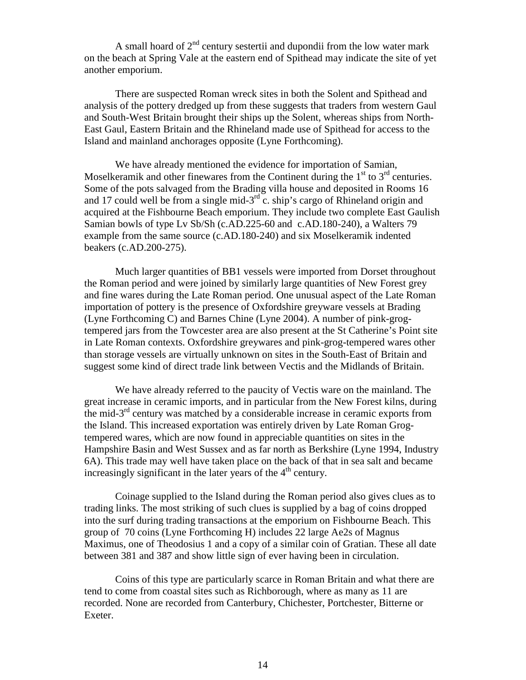A small hoard of  $2<sup>nd</sup>$  century sestertii and dupondii from the low water mark on the beach at Spring Vale at the eastern end of Spithead may indicate the site of yet another emporium.

There are suspected Roman wreck sites in both the Solent and Spithead and analysis of the pottery dredged up from these suggests that traders from western Gaul and South-West Britain brought their ships up the Solent, whereas ships from North-East Gaul, Eastern Britain and the Rhineland made use of Spithead for access to the Island and mainland anchorages opposite (Lyne Forthcoming).

We have already mentioned the evidence for importation of Samian, Moselkeramik and other finewares from the Continent during the  $1<sup>st</sup>$  to  $3<sup>rd</sup>$  centuries. Some of the pots salvaged from the Brading villa house and deposited in Rooms 16 and 17 could well be from a single mid- $3<sup>rd</sup>$  c. ship's cargo of Rhineland origin and acquired at the Fishbourne Beach emporium. They include two complete East Gaulish Samian bowls of type Lv Sb/Sh (c.AD.225-60 and c.AD.180-240), a Walters 79 example from the same source (c.AD.180-240) and six Moselkeramik indented beakers (c.AD.200-275).

Much larger quantities of BB1 vessels were imported from Dorset throughout the Roman period and were joined by similarly large quantities of New Forest grey and fine wares during the Late Roman period. One unusual aspect of the Late Roman importation of pottery is the presence of Oxfordshire greyware vessels at Brading (Lyne Forthcoming C) and Barnes Chine (Lyne 2004). A number of pink-grogtempered jars from the Towcester area are also present at the St Catherine's Point site in Late Roman contexts. Oxfordshire greywares and pink-grog-tempered wares other than storage vessels are virtually unknown on sites in the South-East of Britain and suggest some kind of direct trade link between Vectis and the Midlands of Britain.

We have already referred to the paucity of Vectis ware on the mainland. The great increase in ceramic imports, and in particular from the New Forest kilns, during the mid- $3<sup>rd</sup>$  century was matched by a considerable increase in ceramic exports from the Island. This increased exportation was entirely driven by Late Roman Grogtempered wares, which are now found in appreciable quantities on sites in the Hampshire Basin and West Sussex and as far north as Berkshire (Lyne 1994, Industry 6A). This trade may well have taken place on the back of that in sea salt and became increasingly significant in the later years of the  $4<sup>th</sup>$  century.

Coinage supplied to the Island during the Roman period also gives clues as to trading links. The most striking of such clues is supplied by a bag of coins dropped into the surf during trading transactions at the emporium on Fishbourne Beach. This group of 70 coins (Lyne Forthcoming H) includes 22 large Ae2s of Magnus Maximus, one of Theodosius 1 and a copy of a similar coin of Gratian. These all date between 381 and 387 and show little sign of ever having been in circulation.

Coins of this type are particularly scarce in Roman Britain and what there are tend to come from coastal sites such as Richborough, where as many as 11 are recorded. None are recorded from Canterbury, Chichester, Portchester, Bitterne or Exeter.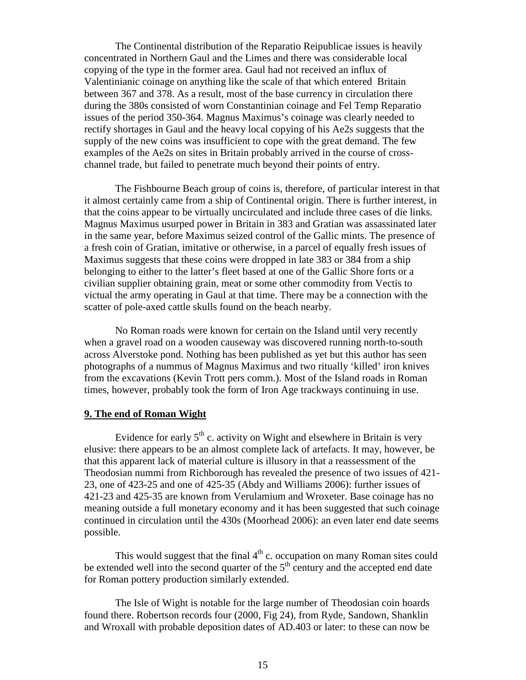The Continental distribution of the Reparatio Reipublicae issues is heavily concentrated in Northern Gaul and the Limes and there was considerable local copying of the type in the former area. Gaul had not received an influx of Valentinianic coinage on anything like the scale of that which entered Britain between 367 and 378. As a result, most of the base currency in circulation there during the 380s consisted of worn Constantinian coinage and Fel Temp Reparatio issues of the period 350-364. Magnus Maximus's coinage was clearly needed to rectify shortages in Gaul and the heavy local copying of his Ae2s suggests that the supply of the new coins was insufficient to cope with the great demand. The few examples of the Ae2s on sites in Britain probably arrived in the course of crosschannel trade, but failed to penetrate much beyond their points of entry.

The Fishbourne Beach group of coins is, therefore, of particular interest in that it almost certainly came from a ship of Continental origin. There is further interest, in that the coins appear to be virtually uncirculated and include three cases of die links. Magnus Maximus usurped power in Britain in 383 and Gratian was assassinated later in the same year, before Maximus seized control of the Gallic mints. The presence of a fresh coin of Gratian, imitative or otherwise, in a parcel of equally fresh issues of Maximus suggests that these coins were dropped in late 383 or 384 from a ship belonging to either to the latter's fleet based at one of the Gallic Shore forts or a civilian supplier obtaining grain, meat or some other commodity from Vectis to victual the army operating in Gaul at that time. There may be a connection with the scatter of pole-axed cattle skulls found on the beach nearby.

No Roman roads were known for certain on the Island until very recently when a gravel road on a wooden causeway was discovered running north-to-south across Alverstoke pond. Nothing has been published as yet but this author has seen photographs of a nummus of Magnus Maximus and two ritually 'killed' iron knives from the excavations (Kevin Trott pers comm.). Most of the Island roads in Roman times, however, probably took the form of Iron Age trackways continuing in use.

## **9. The end of Roman Wight**

Evidence for early  $5<sup>th</sup>$  c. activity on Wight and elsewhere in Britain is very elusive: there appears to be an almost complete lack of artefacts. It may, however, be that this apparent lack of material culture is illusory in that a reassessment of the Theodosian nummi from Richborough has revealed the presence of two issues of 421- 23, one of 423-25 and one of 425-35 (Abdy and Williams 2006): further issues of 421-23 and 425-35 are known from Verulamium and Wroxeter. Base coinage has no meaning outside a full monetary economy and it has been suggested that such coinage continued in circulation until the 430s (Moorhead 2006): an even later end date seems possible.

This would suggest that the final  $4<sup>th</sup>$  c. occupation on many Roman sites could be extended well into the second quarter of the  $5<sup>th</sup>$  century and the accepted end date for Roman pottery production similarly extended.

The Isle of Wight is notable for the large number of Theodosian coin hoards found there. Robertson records four (2000, Fig 24), from Ryde, Sandown, Shanklin and Wroxall with probable deposition dates of AD.403 or later: to these can now be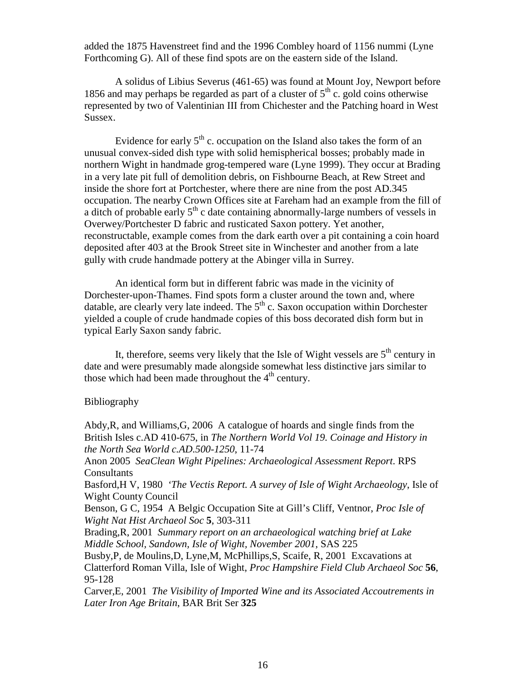added the 1875 Havenstreet find and the 1996 Combley hoard of 1156 nummi (Lyne Forthcoming G). All of these find spots are on the eastern side of the Island.

A solidus of Libius Severus (461-65) was found at Mount Joy, Newport before 1856 and may perhaps be regarded as part of a cluster of  $5<sup>th</sup>$  c. gold coins otherwise represented by two of Valentinian III from Chichester and the Patching hoard in West Sussex.

Evidence for early  $5<sup>th</sup>$  c. occupation on the Island also takes the form of an unusual convex-sided dish type with solid hemispherical bosses; probably made in northern Wight in handmade grog-tempered ware (Lyne 1999). They occur at Brading in a very late pit full of demolition debris, on Fishbourne Beach, at Rew Street and inside the shore fort at Portchester, where there are nine from the post AD.345 occupation. The nearby Crown Offices site at Fareham had an example from the fill of a ditch of probable early  $5<sup>th</sup>$  c date containing abnormally-large numbers of vessels in Overwey/Portchester D fabric and rusticated Saxon pottery. Yet another, reconstructable, example comes from the dark earth over a pit containing a coin hoard deposited after 403 at the Brook Street site in Winchester and another from a late gully with crude handmade pottery at the Abinger villa in Surrey.

An identical form but in different fabric was made in the vicinity of Dorchester-upon-Thames. Find spots form a cluster around the town and, where datable, are clearly very late indeed. The  $5<sup>th</sup>$  c. Saxon occupation within Dorchester yielded a couple of crude handmade copies of this boss decorated dish form but in typical Early Saxon sandy fabric.

It, therefore, seems very likely that the Isle of Wight vessels are  $5<sup>th</sup>$  century in date and were presumably made alongside somewhat less distinctive jars similar to those which had been made throughout the  $4<sup>th</sup>$  century.

# Bibliography

Abdy,R, and Williams,G, 2006 A catalogue of hoards and single finds from the British Isles c.AD 410-675, in *The Northern World Vol 19. Coinage and History in the North Sea World c.AD.500-1250*, 11-74

Anon 2005 *SeaClean Wight Pipelines: Archaeological Assessment Report*. RPS **Consultants** 

Basford,H V, 1980 *'The Vectis Report. A survey of Isle of Wight Archaeology*, Isle of Wight County Council

Benson, G C, 1954 A Belgic Occupation Site at Gill's Cliff, Ventnor, *Proc Isle of Wight Nat Hist Archaeol Soc* **5**, 303-311

Brading,R, 2001 *Summary report on an archaeological watching brief at Lake Middle School, Sandown, Isle of Wight, November 2001*, SAS 225

Busby,P, de Moulins,D, Lyne,M, McPhillips,S, Scaife, R, 2001 Excavations at Clatterford Roman Villa, Isle of Wight, *Proc Hampshire Field Club Archaeol Soc* **56**, 95-128

Carver,E, 2001 *The Visibility of Imported Wine and its Associated Accoutrements in Later Iron Age Britain*, BAR Brit Ser **325**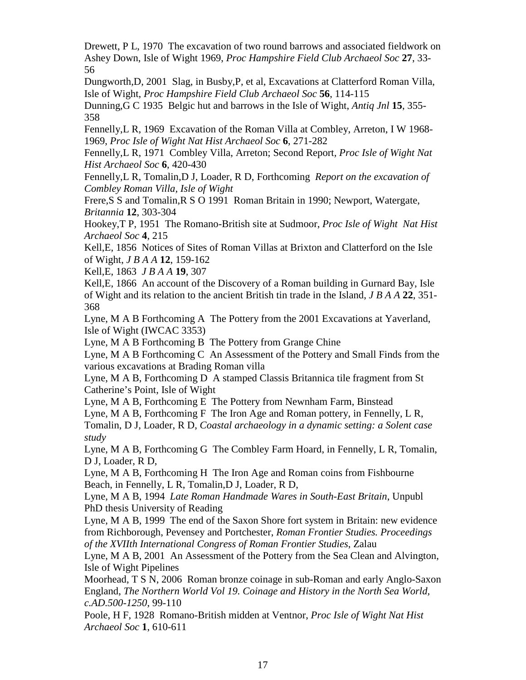Drewett, P L, 1970 The excavation of two round barrows and associated fieldwork on Ashey Down, Isle of Wight 1969, *Proc Hampshire Field Club Archaeol Soc* **27**, 33- 56

Dungworth,D, 2001 Slag, in Busby,P, et al, Excavations at Clatterford Roman Villa, Isle of Wight, *Proc Hampshire Field Club Archaeol Soc* **56**, 114-115

Dunning,G C 1935 Belgic hut and barrows in the Isle of Wight, *Antiq Jnl* **15**, 355- 358

Fennelly,L R, 1969 Excavation of the Roman Villa at Combley, Arreton, I W 1968- 1969, *Proc Isle of Wight Nat Hist Archaeol Soc* **6**, 271-282

Fennelly,L R, 1971 Combley Villa, Arreton; Second Report*, Proc Isle of Wight Nat Hist Archaeol Soc* **6**, 420-430

Fennelly,L R, Tomalin,D J, Loader, R D, Forthcoming *Report on the excavation of Combley Roman Villa, Isle of Wight*

Frere,S S and Tomalin,R S O 1991 Roman Britain in 1990; Newport, Watergate, *Britannia* **12**, 303-304

Hookey,T P, 1951 The Romano-British site at Sudmoor, *Proc Isle of Wight Nat Hist Archaeol Soc* **4**, 215

Kell,E, 1856 Notices of Sites of Roman Villas at Brixton and Clatterford on the Isle of Wight, *J B A A* **12**, 159-162

Kell,E, 1863 *J B A A* **19**, 307

Kell,E, 1866 An account of the Discovery of a Roman building in Gurnard Bay, Isle of Wight and its relation to the ancient British tin trade in the Island, *J B A A* **22**, 351- 368

Lyne, M A B Forthcoming A The Pottery from the 2001 Excavations at Yaverland, Isle of Wight (IWCAC 3353)

Lyne, M A B Forthcoming B The Pottery from Grange Chine

Lyne, M A B Forthcoming C An Assessment of the Pottery and Small Finds from the various excavations at Brading Roman villa

Lyne, M A B, Forthcoming D A stamped Classis Britannica tile fragment from St Catherine's Point, Isle of Wight

Lyne, M A B, Forthcoming E The Pottery from Newnham Farm, Binstead

Lyne, M A B, Forthcoming F The Iron Age and Roman pottery, in Fennelly, L R,

Tomalin, D J, Loader, R D, *Coastal archaeology in a dynamic setting: a Solent case study*

Lyne, M A B, Forthcoming G The Combley Farm Hoard, in Fennelly, L R, Tomalin, D J, Loader, R D,

Lyne, M A B, Forthcoming H The Iron Age and Roman coins from Fishbourne Beach, in Fennelly, L R, Tomalin,D J, Loader, R D,

Lyne, M A B, 1994 *Late Roman Handmade Wares in South-East Britain*, Unpubl PhD thesis University of Reading

Lyne, M A B, 1999 The end of the Saxon Shore fort system in Britain: new evidence from Richborough, Pevensey and Portchester, *Roman Frontier Studies. Proceedings of the XVIIth International Congress of Roman Frontier Studies*, Zalau

Lyne, M A B, 2001 An Assessment of the Pottery from the Sea Clean and Alvington, Isle of Wight Pipelines

Moorhead, T S N, 2006 Roman bronze coinage in sub-Roman and early Anglo-Saxon England, *The Northern World Vol 19. Coinage and History in the North Sea World, c.AD.500-1250*, 99-110

Poole, H F, 1928 Romano-British midden at Ventnor, *Proc Isle of Wight Nat Hist Archaeol Soc* **1**, 610-611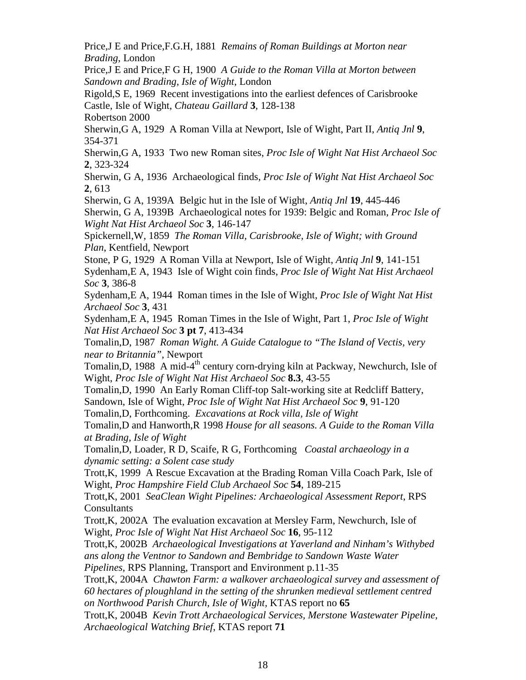Price,J E and Price,F.G.H, 1881 *Remains of Roman Buildings at Morton near Brading*, London

Price,J E and Price,F G H, 1900 *A Guide to the Roman Villa at Morton between Sandown and Brading, Isle of Wight*, London

Rigold,S E, 1969 Recent investigations into the earliest defences of Carisbrooke Castle, Isle of Wight, *Chateau Gaillard* **3**, 128-138

Robertson 2000

Sherwin,G A, 1929 A Roman Villa at Newport, Isle of Wight, Part II, *Antiq Jnl* **9**, 354-371

Sherwin,G A, 1933 Two new Roman sites, *Proc Isle of Wight Nat Hist Archaeol Soc* **2**, 323-324

Sherwin, G A, 1936 Archaeological finds, *Proc Isle of Wight Nat Hist Archaeol Soc* **2**, 613

Sherwin, G A, 1939A Belgic hut in the Isle of Wight, *Antiq Jnl* **19**, 445-446

Sherwin, G A, 1939B Archaeological notes for 1939: Belgic and Roman, *Proc Isle of Wight Nat Hist Archaeol Soc* **3**, 146-147

Spickernell,W, 1859 *The Roman Villa, Carisbrooke, Isle of Wight; with Ground Plan*, Kentfield, Newport

Stone, P G, 1929 A Roman Villa at Newport, Isle of Wight, *Antiq Jnl* **9**, 141-151 Sydenham,E A, 1943 Isle of Wight coin finds, *Proc Isle of Wight Nat Hist Archaeol Soc* **3**, 386-8

Sydenham,E A, 1944 Roman times in the Isle of Wight, *Proc Isle of Wight Nat Hist Archaeol Soc* **3**, 431

Sydenham,E A, 1945 Roman Times in the Isle of Wight, Part 1, *Proc Isle of Wight Nat Hist Archaeol Soc* **3 pt 7**, 413-434

Tomalin,D, 1987 *Roman Wight. A Guide Catalogue to "The Island of Vectis, very near to Britannia"*, Newport

Tomalin, D, 1988 A mid-4<sup>th</sup> century corn-drying kiln at Packway, Newchurch, Isle of Wight, *Proc Isle of Wight Nat Hist Archaeol Soc* **8.3**, 43-55

Tomalin,D, 1990 An Early Roman Cliff-top Salt-working site at Redcliff Battery, Sandown, Isle of Wight, *Proc Isle of Wight Nat Hist Archaeol Soc* **9**, 91-120

Tomalin,D, Forthcoming. *Excavations at Rock villa, Isle of Wight*

Tomalin,D and Hanworth,R 1998 *House for all seasons. A Guide to the Roman Villa at Brading, Isle of Wight*

Tomalin,D, Loader, R D, Scaife, R G, Forthcoming *Coastal archaeology in a dynamic setting: a Solent case study*

Trott,K, 1999 A Rescue Excavation at the Brading Roman Villa Coach Park, Isle of Wight, *Proc Hampshire Field Club Archaeol Soc* **54**, 189-215

Trott,K, 2001 *SeaClean Wight Pipelines: Archaeological Assessment Report*, RPS Consultants

Trott,K, 2002A The evaluation excavation at Mersley Farm, Newchurch, Isle of Wight, *Proc Isle of Wight Nat Hist Archaeol Soc* **16**, 95-112

Trott,K, 2002B *Archaeological Investigations at Yaverland and Ninham's Withybed ans along the Ventnor to Sandown and Bembridge to Sandown Waste Water*

*Pipelines,* RPS Planning, Transport and Environment p.11-35

Trott,K, 2004A *Chawton Farm: a walkover archaeological survey and assessment of 60 hectares of ploughland in the setting of the shrunken medieval settlement centred on Northwood Parish Church, Isle of Wight,* KTAS report no **65**

Trott,K, 2004B *Kevin Trott Archaeological Services, Merstone Wastewater Pipeline, Archaeological Watching Brief*, KTAS report **71**